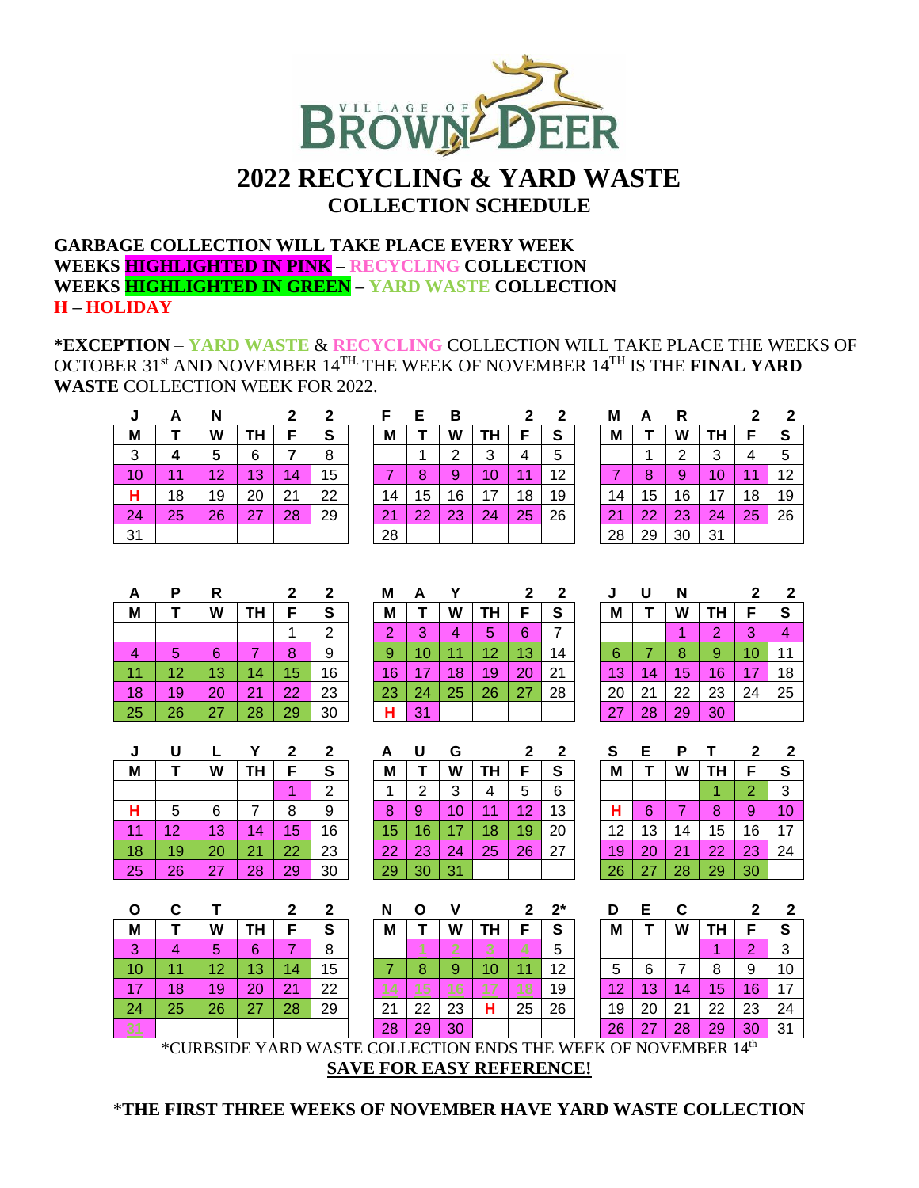

# **2022 RECYCLING & YARD WASTE COLLECTION SCHEDULE**

### **GARBAGE COLLECTION WILL TAKE PLACE EVERY WEEK WEEKS HIGHLIGHTED IN PINK – RECYCLING COLLECTION WEEKS HIGHLIGHTED IN GREEN – YARD WASTE COLLECTION H – HOLIDAY**

**\*EXCEPTION** – **YARD WASTE** & **RECYCLING** COLLECTION WILL TAKE PLACE THE WEEKS OF OCTOBER 31 st AND NOVEMBER 14TH. THE WEEK OF NOVEMBER 14 TH IS THE **FINAL YARD WASTE** COLLECTION WEEK FOR 2022.

|    | А  |    |    |    |    |    | Е  | в  |    |    |    | M        | А  |    |    |    |    |
|----|----|----|----|----|----|----|----|----|----|----|----|----------|----|----|----|----|----|
| М  |    | W  |    |    | S  | Μ  |    | W  | ΓH |    | S  | M        |    | W  | ΙH | c  | S  |
| 3  | 4  | 5  | 6  |    | 8  |    |    |    | 3  | 4  | 5  |          |    | っ  | 3  | 4  | 5  |
| 10 | -1 | 12 | 13 | 14 | 15 |    | 8  | 9  | 10 |    | 12 |          | 8  | 9  | 10 | 11 | 12 |
| н  | 18 | 19 | 20 | 21 | 22 | 14 | 15 | 16 | 17 | 18 | 19 | 14       | 15 | 16 | 17 | 18 | 19 |
| 24 | 25 | 26 | 27 | 28 | 29 | 21 | 22 | 23 | 24 | 25 | 26 | $\Omega$ | 22 | 23 | 24 | 25 | 26 |
| 31 |    |    |    |    |    | 28 |    |    |    |    |    | 28       | 29 | 30 | 31 |    |    |

|    | c. | ь              |    |    |    |
|----|----|----------------|----|----|----|
| М  | Τ  | W              | ΤН | F  | S  |
|    |    | $\overline{2}$ | 3  | 4  | 5  |
|    | 8  | 9              | 10 | 11 | 12 |
| 14 | 15 | 16             | 17 | 18 | 19 |
| 21 | 22 | 23             | 24 | 25 | 26 |
| 28 |    |                |    |    |    |

|    | А  | R              |    | 2  | 2  |
|----|----|----------------|----|----|----|
| М  | Т  | W              | ΤН | F  | S  |
|    |    | $\overline{2}$ | 3  | 4  | 5  |
|    | 8  | 9              | 10 | 11 | 12 |
| 14 | 15 | 16             | 17 | 18 | 19 |
| 21 | 22 | 23             | 24 | 25 | 26 |
| 28 | 29 | 30             | 31 |    |    |

|    |    |    |    |    |    | М  |        |    |    |    |    |    |          |    |    |    | Ð  |
|----|----|----|----|----|----|----|--------|----|----|----|----|----|----------|----|----|----|----|
| M  |    | W  | TΗ |    | S  | Μ  |        | W  |    |    | S  | Μ  |          | W  | TΗ | F  | S  |
|    |    |    |    |    | ◠  | 2  | 2<br>ັ |    | b  | 6  |    |    |          |    | റ  | 3  |    |
|    | 5  | 6  |    | 8  | 9  | 9  |        |    | 12 | 3  | 14 | 6  |          | 8  | 9  | 10 | 11 |
| 11 | 12 | 13 | 14 | 15 | 16 | 16 |        | 18 | 19 | ററ | 21 | 13 | 4.<br>14 | 15 | 16 | 17 | 18 |
| 18 | 19 | 20 | 21 | 22 | 23 | 23 | 24     | 25 | 26 | 27 | 28 | 20 | 21       | 22 | 23 | 24 | 25 |
| 25 | 26 |    | 28 | 29 | 30 | н  | 31     |    |    |    |    | 27 | 28       | 29 | 30 |    |    |
|    |    |    |    |    |    |    |        |    |    |    |    |    |          |    |    |    |    |

| 2  |    | М  | А   |    |    |    |    | N  |    |    |    |    |    |
|----|----|----|-----|----|----|----|----|----|----|----|----|----|----|
| F  | S  | М  |     | W  |    |    | s  | М  |    | W  |    | F  | S  |
| 1  | 2  | 2  | 3   | 4  | 5  | 6  |    |    |    |    | 2  | 3  |    |
| 8  | 9  | 9  | 10. |    | 12 | 13 | 14 | 6  |    | 8  | 9  |    |    |
| 5  | 16 | 16 | 17  | 18 | 19 | 20 | 21 | 13 | 14 | 5  | 16 | 17 |    |
| 22 | 23 | 23 | 24  | 25 | 26 | 27 | 28 | 20 |    | 22 | 23 | 24 | 25 |
| 29 | 30 |    |     |    |    |    |    | 27 | 28 | 29 | 30 |    |    |

| J  | U  | Ν  |           | 2  | 2  |
|----|----|----|-----------|----|----|
| М  | Τ  | W  | <b>TH</b> | F  | S  |
|    |    |    | 2         | 3  | 4  |
| 6  |    | 8  | 9         | 10 | 11 |
| 13 | 14 | 15 | 16        | 17 | 18 |
| 20 | 21 | 22 | 23        | 24 | 25 |
| 27 | 28 | 29 | 30        |    |    |

| υ  |    |    |    | כי |    | A   |    | G   |    |    |    | s  |    | Р  |    |    | 2  |
|----|----|----|----|----|----|-----|----|-----|----|----|----|----|----|----|----|----|----|
| M  |    | W  |    |    | S  | М   |    | W   |    |    | S  | M  |    | W  | ΤН | E  | S  |
|    |    |    |    |    | ⌒  |     |    | 3   |    | G  | 6  |    |    |    |    | 2  | 3  |
| п  | 5  | O  |    | 8  | 9  | 8   | 9  | 1 ∩ |    | 10 | 13 | н  |    |    | 8  | 9  | 10 |
| 11 | 12 | 13 | 4  | 5  | 16 | 15  |    |     | 18 | 19 | 20 | 12 | 13 | 14 | 15 | 16 | 17 |
| 18 | 19 | 20 |    | 22 | 23 | -22 | ററ | 24  | 25 | 26 | 27 | 19 |    | 21 | 22 | 23 | 24 |
| 25 | 26 |    | 28 | 29 | 30 | 29  | 30 |     |    |    |    | 26 |    | 28 | 29 | 30 |    |

|           |    |    |    | 2  | 2  | N  |    |    |    | 2  | $2^{*}$ | D  | Е  |    |     |    |    |
|-----------|----|----|----|----|----|----|----|----|----|----|---------|----|----|----|-----|----|----|
| M         |    | W  | ГΗ |    | S  | M  |    | W  |    |    | S       | M  |    | W  | TH. | F  | S  |
| 3         | 4  | 5  | 6  |    | 8  |    |    |    |    |    | 5       |    |    |    | и   | 2  | 3  |
| 10        | 1  | 12 | 13 | 14 | 15 |    | 8  | 9  | 10 |    | 12      | 5  | 6  |    | 8   | 9  | 10 |
| <b>A7</b> | 18 | 19 | 20 | 21 | 22 |    | 5  |    |    |    | 19      | 12 | 13 | 14 | 15  | 16 | 17 |
| 24        | 25 | 26 | 27 | 28 | 29 | 21 | 22 | 23 | н  | 25 | 26      | 19 | 20 | 21 | 22  | 23 | 24 |
|           |    |    |    |    |    | 28 | 29 | 30 |    |    |         | 26 | 27 | 28 | 29  | 30 | 31 |

| <b>J</b> |            |    |    | -  |    |                 |    |                                     |    |    |    |    |     | D  |    |        |                |
|----------|------------|----|----|----|----|-----------------|----|-------------------------------------|----|----|----|----|-----|----|----|--------|----------------|
| M        |            | W  | ГΗ |    | S  | M               |    | W                                   | ΤН |    | S  | Μ  |     | W  |    | F      | е              |
|          |            |    |    |    | ົ  |                 |    | ⌒<br>ື                              |    | 5  | 6  |    |     |    |    | $\sim$ | 3              |
| н        |            | 6  |    | 8  | 9  | 8               | 9  | и                                   |    | 12 | 13 | н  |     |    | 8  | 9      | 10             |
| 44       | $\sqrt{2}$ | 13 | 14 | 15 | 16 | 15              |    |                                     |    | 19 | 20 | 12 | 1 ว | 14 | 15 | 16     | 17             |
| 18       | 19         | 20 | 21 | 22 | 23 | 22 <sub>1</sub> | 23 | $\mathcal{D}_{\mathcal{A}^{\perp}}$ | 25 | 26 | 27 | 19 |     | 21 | 22 | 23     | 2 <sup>2</sup> |
| 25       | 26         | 27 | 28 | 29 | 30 | 29              | 30 | 31                                  |    |    |    | 26 |     | 28 | 29 | 30     |                |

| N  | О  | v  |           | 2  | $2^*$ |
|----|----|----|-----------|----|-------|
| M  | Τ  | W  | <b>TH</b> | F  | S     |
|    |    | 74 |           |    | 5     |
|    | 8  | 9  | 10        | 11 | 12    |
|    | I, | 46 |           |    | 19    |
| 21 | 22 | 23 | н         | 25 | 26    |
| 28 | 29 | 30 |           |    |       |

| S  | Е  | Ρ  |    | 2              | 2  |
|----|----|----|----|----------------|----|
| M  |    | W  | TΗ | F              | S  |
|    |    |    |    | $\overline{c}$ | 3  |
| н  | 6  |    | 8  | 9              | 10 |
| 12 | 13 | 14 | 15 | 16             | 17 |
| 19 | 20 | 21 | 22 | 23             | 24 |
| 26 | 27 | 28 | 29 | 30             |    |
|    |    |    |    |                |    |

| D  | Е  | C  |    | 2  | 2  |
|----|----|----|----|----|----|
| М  | т  | W  | TΗ | F  | S  |
|    |    |    |    | 2  | 3  |
| 5  | 6  | 7  | 8  | 9  | 10 |
| 12 | 13 | 14 | 15 | 16 | 17 |
| 19 | 20 | 21 | 22 | 23 | 24 |
| 26 | 27 | 28 | 29 | 30 | 31 |

 $^*$ CURBSIDE YARD WASTE COLLECTION ENDS THE WEEK OF NOVEMBER  $14^{\rm th}$ **SAVE FOR EASY REFERENCE!**

\***THE FIRST THREE WEEKS OF NOVEMBER HAVE YARD WASTE COLLECTION**